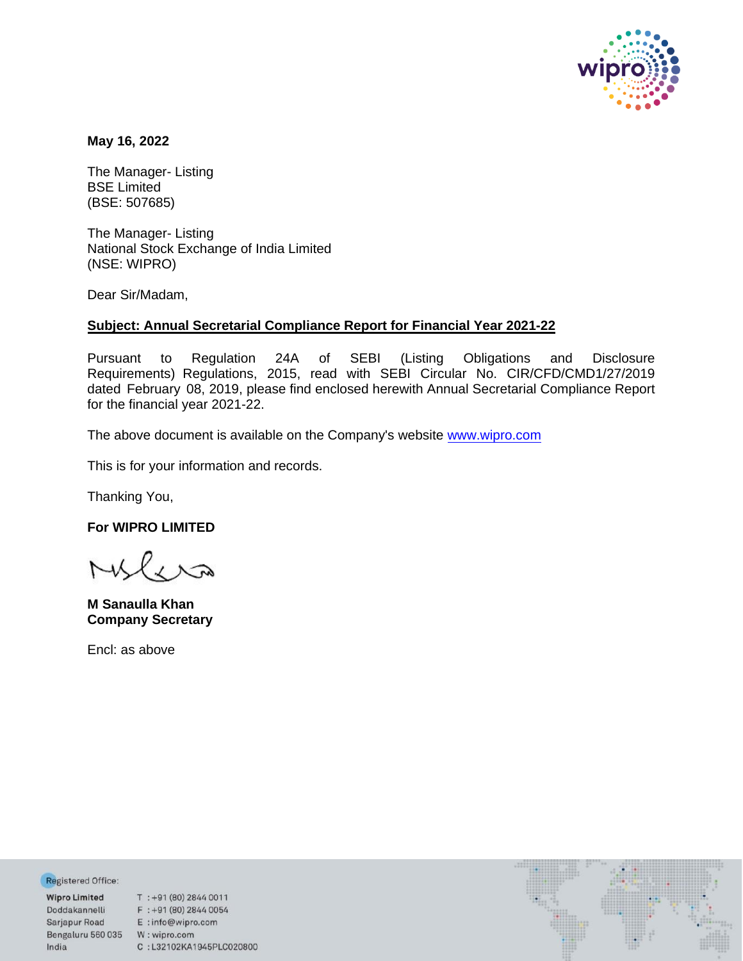

**May 16, 2022** 

The Manager- Listing BSE Limited (BSE: 507685)

The Manager- Listing National Stock Exchange of India Limited (NSE: WIPRO)

Dear Sir/Madam,

## **Subject: Annual Secretarial Compliance Report for Financial Year 2021-22**

Pursuant to Regulation 24A of SEBI (Listing Obligations and Disclosure Requirements) Regulations, 2015, read with SEBI Circular No. CIR/CFD/CMD1/27/2019 dated February 08, 2019, please find enclosed herewith Annual Secretarial Compliance Report for the financial year 2021-22.

The above document is available on the Company's websit[e www.wipro.com](http://www.wipro.com/)

This is for your information and records.

Thanking You,

**For WIPRO LIMITED** 

**M Sanaulla Khan Company Secretary**

Encl: as above

Registered Office:

**Wipro Limited** Doddakannelli Sarjapur Road Bengaluru 560 035 W: wipro.com India

 $T$ : +91 (80) 2844 0011  $F : +91 (80) 2844 0054$ <br> $F : info@where.com$ E:info@wipro.com C:L32102KA1945PLC020800

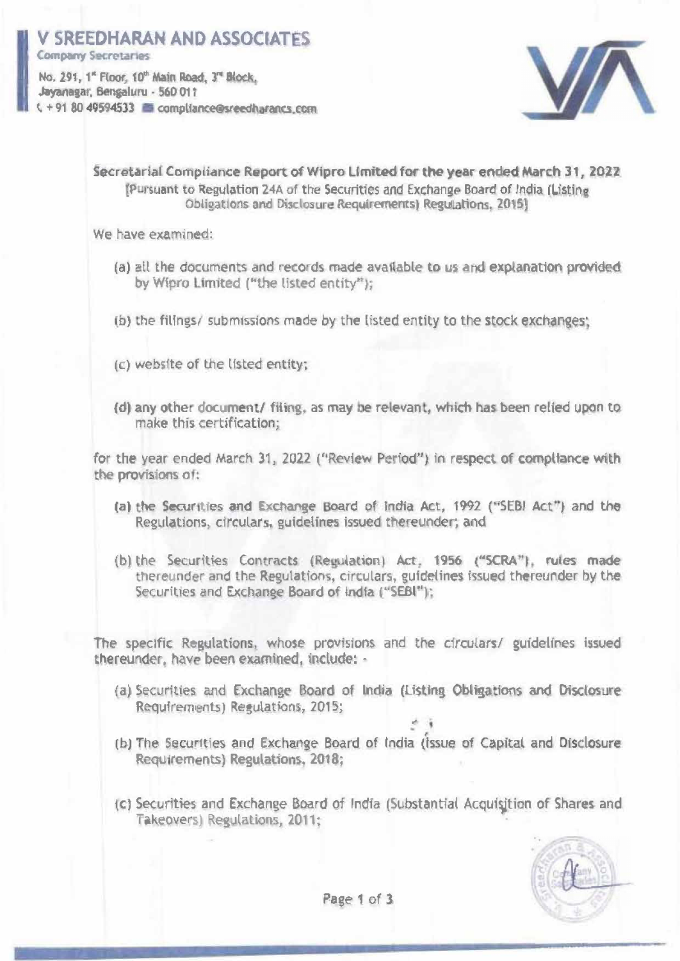## **SREEDHARAN AND ASSOCIATES**

**Company Secretaries** 

No. 291, 1" Floor, 10" Main Road, 3" Block. Jayanagar, Bengaluru - 560 011  $C + 918049594533$  exampliance@sreedharancs.com



Secretarial Compliance Report of Wipro Limited for the year ended March 31, 2022 (Pursuant to Regulation 24A of the Securities and Exchange Board of India (Listing) Obligations and Disclosure Requirements) Regulations, 2015]

We have examined:

- (a) all the documents and records made available to us and explanation provided by Wipro Limited ("the listed entity");
- (b) the filings/ submissions made by the listed entity to the stock exchanges:
- (c) website of the listed entity;
- (d) any other document/ filing, as may be relevant, which has been relied upon to make this certification:

for the year ended March 31, 2022 ("Review Period") in respect of compliance with the provisions of:

- (a) the Securities and Exchange Board of India Act, 1992 ("SEBI Act") and the Regulations, circulars, guidelines issued thereunder; and
- (b) the Securities Contracts (Regulation) Act, 1956 ("SCRA"), rules made thereunder and the Regulations, circulars, guidelines issued thereunder by the Securities and Exchange Board of India ("SEBI");

The specific Regulations, whose provisions and the circulars/ guidelines issued thereunder, have been examined, include; -

- (a) Securities and Exchange Board of India (Listing Obligations and Disclosure Requirements) Regulations, 2015;
- (b) The Securities and Exchange Board of India (Issue of Capital and Disclosure Requirements) Regulations, 2018;
- (c) Securities and Exchange Board of India (Substantial Acquisition of Shares and Takeovers) Regulations, 2011;



Page 1 of 3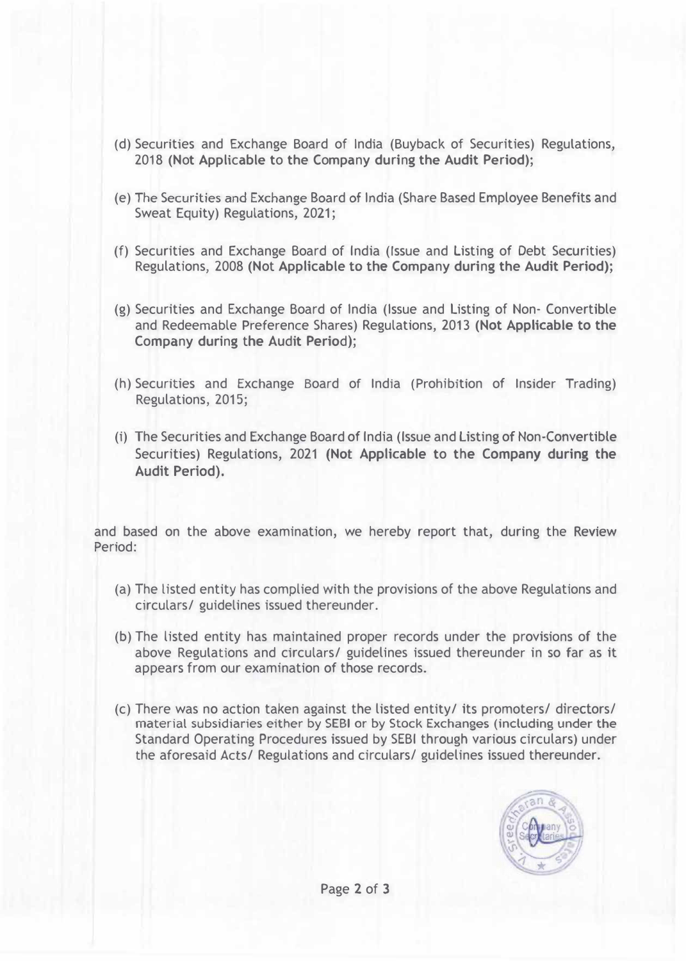- (d) Securities and Exchange Board of India (Buyback of Securities) Regulations, 2018 (Not Applicable to the Company during the Audit Period);
- (e) The Securities and Exchange Board of India (Share Based Employee Benefits and Sweat Equity) Regulations, 2021;
- (f) Securities and Exchange Board of India (Issue and listing of Debt Securities) Regulations, 2008 (Not Applicable **to the** Company during the Audit Period);
- (g) Securities and Exchange Board of India (Issue and Listing of Non- Convertible and Redeemable Preference Shares) Regulations, 2013 **(Not Applicable to the** Company during the Audit Period);
- (h) Securities and Exchange Board of India (Prohibition of Insider Trading) Regulations, 2015;
- (i) The Securities and Exchange Board of India (Issue and Listing of Non-Convertible Securities) Regulations, 2021 (Not Applicable to the Company during the **Audit Period).**

and based on the above examination, we hereby report that, during the **Review**  Period:

- (a) The listed entity has complied with the provisions of the above Regulations and circulars/ guidelines issued thereunder.
- (b) The listed entity has maintained proper records under the provisions of the above Regulations and circulars/ guidelines issued thereunder in so far as it appears from our examination of those records.
- (c) There was no action taken against the listed entity/ its promoters/ directors/ material subsidiaries either by SEBI or by Stock Exchanges (including under the Standard Operating Procedures issued by SEBI through various circulars) under the aforesaid Acts/ Regulations and circulars/ guidelines issued thereunder.